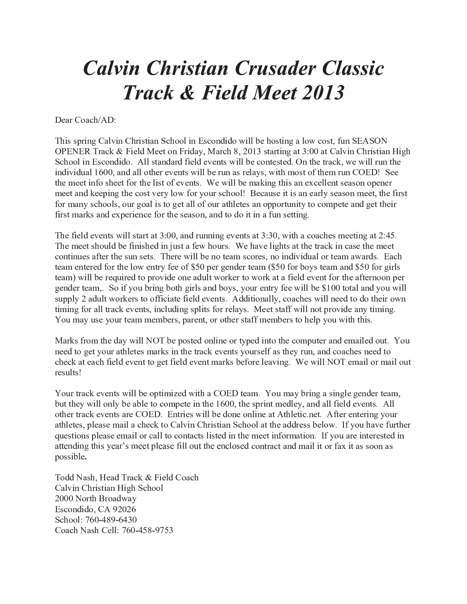# **Calvin Christian Crusader Classic Track & Field Meet 2013**

Dear Coach/AD:

This spring Calvin Christian School in Escondido will be hosting a low cost, fun SEASON OPENER Track & Field Meet on Friday, March 8, 2013 starting at 3:00 at Calvin Christian High School in Escondido. All standard field events will be contested. On the track, we will run the individual 1600, and all other events will be run as relays, with most of them run COED! See the meet info sheet for the list of events. We will be making this an excellent season opener meet and keeping the cost very low for your school! Because it is an early season meet, the first for many schools, our goal is to get all of our athletes an opportunity to compete and get their first marks and experience for the season, and to do it in a fun setting.

The field events will start at 3:00, and running events at 3:30, with a coaches meeting at 2:45. The meet should be finished in just a few hours. We have lights at the track in case the meet continues after the sun sets. There will be no team scores, no individual or team awards. Each team entered for the low entry fee of \$50 per gender team (\$50 for boys team and \$50 for girls team) will be required to provide one adult worker to work at a field event for the afternoon per gender team,. So if you bring both girls and boys, your entry fee will be \$100 total and you will supply 2 adult workers to officiate field events. Additionally, coaches will need to do their own timing for all track events, including splits for relays. Meet staff will not provide any timing. You may use your team members, parent, or other staff members to help you with this.

Marks from the day will NOT be posted online or typed into the computer and emailed out. You need to get your athletes marks in the track events yourself as they run, and coaches need to check at each field event to get field event marks before leaving. We will NOT email or mail out results!

Your track events will be optimized with a COED team. You may bring a single gender team, but they will only be able to compete in the 1600, the sprint medley, and all field events. All other track events are COED. Entries will be done online at Athletic.net. After entering your athletes, please mail a check to Calvin Christian School at the address below. If you have further questions please email or call to contacts listed in the meet information. If you are interested in attending this year's meet please fill out the enclosed contract and mail it or fax it as soon as possible.

Todd Nash, Head Track & Field Coach Calvin Christian High School 2000 North Broadway Escondido, CA 92026 School: 760-489-6430 Coach Nash Cell: 760-458-9753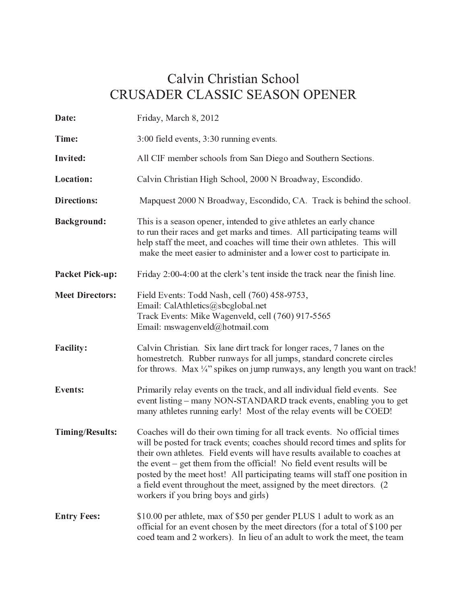## Calvin Christian School CRUSADER CLASSIC SEASON OPENER

| Date:                  | Friday, March 8, 2012                                                                                                                                                                                                                                                                                                                                                                                                                                                                                            |  |  |
|------------------------|------------------------------------------------------------------------------------------------------------------------------------------------------------------------------------------------------------------------------------------------------------------------------------------------------------------------------------------------------------------------------------------------------------------------------------------------------------------------------------------------------------------|--|--|
| Time:                  | 3:00 field events, 3:30 running events.                                                                                                                                                                                                                                                                                                                                                                                                                                                                          |  |  |
| <b>Invited:</b>        | All CIF member schools from San Diego and Southern Sections.                                                                                                                                                                                                                                                                                                                                                                                                                                                     |  |  |
| Location:              | Calvin Christian High School, 2000 N Broadway, Escondido.                                                                                                                                                                                                                                                                                                                                                                                                                                                        |  |  |
| <b>Directions:</b>     | Mapquest 2000 N Broadway, Escondido, CA. Track is behind the school.                                                                                                                                                                                                                                                                                                                                                                                                                                             |  |  |
| <b>Background:</b>     | This is a season opener, intended to give athletes an early chance<br>to run their races and get marks and times. All participating teams will<br>help staff the meet, and coaches will time their own athletes. This will<br>make the meet easier to administer and a lower cost to participate in.                                                                                                                                                                                                             |  |  |
| <b>Packet Pick-up:</b> | Friday 2:00-4:00 at the clerk's tent inside the track near the finish line.                                                                                                                                                                                                                                                                                                                                                                                                                                      |  |  |
| <b>Meet Directors:</b> | Field Events: Todd Nash, cell (760) 458-9753,<br>Email: CalAthletics@sbcglobal.net<br>Track Events: Mike Wagenveld, cell (760) 917-5565<br>Email: mswagenveld@hotmail.com                                                                                                                                                                                                                                                                                                                                        |  |  |
| <b>Facility:</b>       | Calvin Christian. Six lane dirt track for longer races, 7 lanes on the<br>homestretch. Rubber runways for all jumps, standard concrete circles<br>for throws. Max $\frac{1}{4}$ " spikes on jump runways, any length you want on track!                                                                                                                                                                                                                                                                          |  |  |
| <b>Events:</b>         | Primarily relay events on the track, and all individual field events. See<br>event listing – many NON-STANDARD track events, enabling you to get<br>many athletes running early! Most of the relay events will be COED!                                                                                                                                                                                                                                                                                          |  |  |
| <b>Timing/Results:</b> | Coaches will do their own timing for all track events. No official times<br>will be posted for track events; coaches should record times and splits for<br>their own athletes. Field events will have results available to coaches at<br>the event – get them from the official! No field event results will be<br>posted by the meet host! All participating teams will staff one position in<br>a field event throughout the meet, assigned by the meet directors. (2)<br>workers if you bring boys and girls) |  |  |
| <b>Entry Fees:</b>     | \$10.00 per athlete, max of \$50 per gender PLUS 1 adult to work as an<br>official for an event chosen by the meet directors (for a total of \$100 per<br>coed team and 2 workers). In lieu of an adult to work the meet, the team                                                                                                                                                                                                                                                                               |  |  |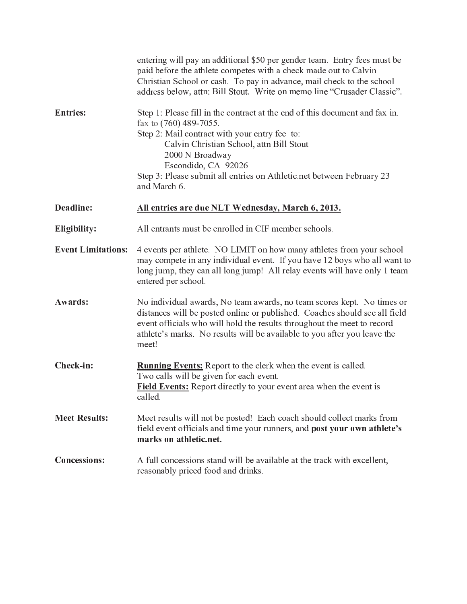|                           | entering will pay an additional \$50 per gender team. Entry fees must be<br>paid before the athlete competes with a check made out to Calvin<br>Christian School or cash. To pay in advance, mail check to the school<br>address below, attn: Bill Stout. Write on memo line "Crusader Classic".                                      |  |  |  |
|---------------------------|---------------------------------------------------------------------------------------------------------------------------------------------------------------------------------------------------------------------------------------------------------------------------------------------------------------------------------------|--|--|--|
| <b>Entries:</b>           | Step 1: Please fill in the contract at the end of this document and fax in.<br>fax to (760) 489-7055.<br>Step 2: Mail contract with your entry fee to:<br>Calvin Christian School, attn Bill Stout<br>2000 N Broadway<br>Escondido, CA 92026<br>Step 3: Please submit all entries on Athletic net between February 23<br>and March 6. |  |  |  |
| Deadline:                 | All entries are due NLT Wednesday, March 6, 2013.                                                                                                                                                                                                                                                                                     |  |  |  |
| Eligibility:              | All entrants must be enrolled in CIF member schools.                                                                                                                                                                                                                                                                                  |  |  |  |
| <b>Event Limitations:</b> | 4 events per athlete. NO LIMIT on how many athletes from your school<br>may compete in any individual event. If you have 12 boys who all want to<br>long jump, they can all long jump! All relay events will have only 1 team<br>entered per school.                                                                                  |  |  |  |
| Awards:                   | No individual awards, No team awards, no team scores kept. No times or<br>distances will be posted online or published. Coaches should see all field<br>event officials who will hold the results throughout the meet to record<br>athlete's marks. No results will be available to you after you leave the<br>meet!                  |  |  |  |
| Check-in:                 | <b>Running Events:</b> Report to the clerk when the event is called.<br>Two calls will be given for each event.<br><b>Field Events:</b> Report directly to your event area when the event is<br>called.                                                                                                                               |  |  |  |
| <b>Meet Results:</b>      | Meet results will not be posted! Each coach should collect marks from<br>field event officials and time your runners, and post your own athlete's<br>marks on athletic.net.                                                                                                                                                           |  |  |  |
| <b>Concessions:</b>       | A full concessions stand will be available at the track with excellent,<br>reasonably priced food and drinks.                                                                                                                                                                                                                         |  |  |  |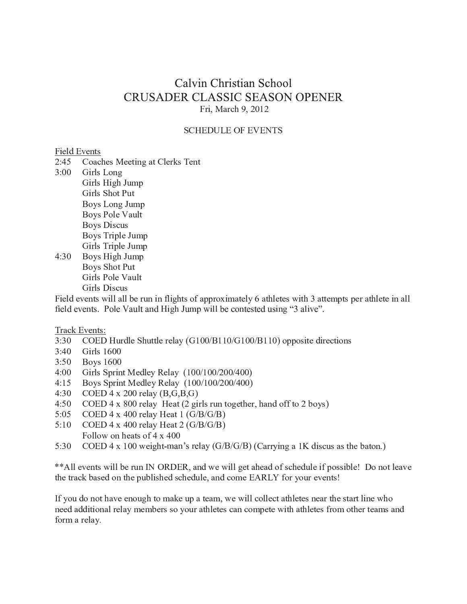### Calvin Christian School **CRUSADER CLASSIC SEASON OPENER** Fri, March 9, 2012

#### **SCHEDULE OF EVENTS**

#### Field Events

- $2:45$ Coaches Meeting at Clerks Tent
- $3:00$ Girls Long Girls High Jump Girls Shot Put Boys Long Jump **Boys Pole Vault Boys Discus** Boys Triple Jump Girls Triple Jump  $4:30$ Boys High Jump
	- Boys Shot Put Girls Pole Vault Girls Discus

Field events will all be run in flights of approximately 6 athletes with 3 attempts per athlete in all field events. Pole Vault and High Jump will be contested using "3 alive".

#### Track Events:

- COED Hurdle Shuttle relay (G100/B110/G100/B110) opposite directions  $3:30$
- $3:40$ **Girls 1600**
- $3:50$ **Boys 1600**
- $4:00$ Girls Sprint Medley Relay (100/100/200/400)
- $4:15$ Boys Sprint Medley Relay (100/100/200/400)
- $4:30$ COED 4 x 200 relay  $(B, G, B, G)$
- $4:50$ COED  $4 \times 800$  relay Heat (2 girls run together, hand off to 2 boys)
- $5:05$ COED 4 x 400 relay Heat 1  $(G/B/G/B)$
- COED 4 x 400 relay Heat 2 ( $G/B/G/B$ )  $5:10$
- Follow on heats of  $4 \times 400$
- $5:30$ COED 4 x 100 weight-man's relay (G/B/G/B) (Carrying a 1K discus as the baton.)

\*\* All events will be run IN ORDER, and we will get ahead of schedule if possible! Do not leave the track based on the published schedule, and come EARLY for your events!

If you do not have enough to make up a team, we will collect athletes near the start line who need additional relay members so your athletes can compete with athletes from other teams and form a relay.